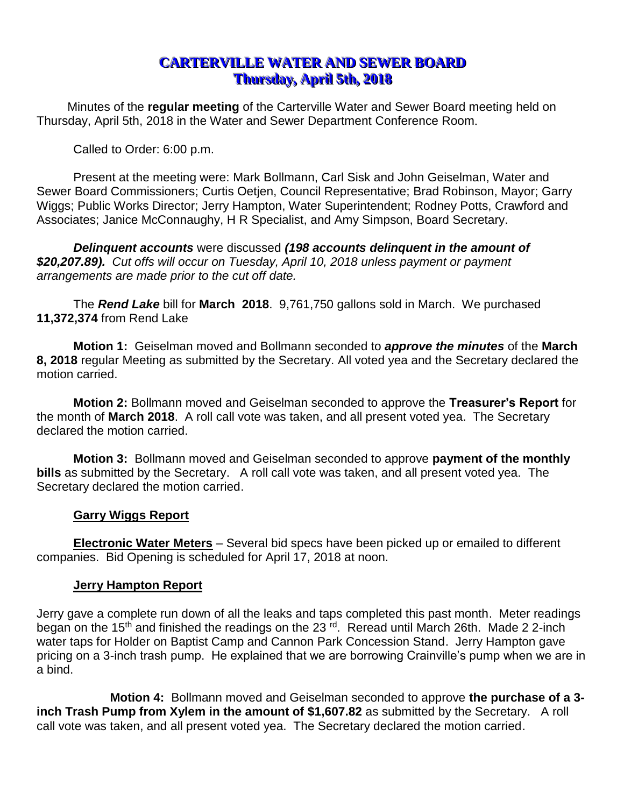# **CARTERVILLE WATER AND SEWER BOARD Thursday, April 5th, 2018**

Minutes of the **regular meeting** of the Carterville Water and Sewer Board meeting held on Thursday, April 5th, 2018 in the Water and Sewer Department Conference Room.

Called to Order: 6:00 p.m.

Present at the meeting were: Mark Bollmann, Carl Sisk and John Geiselman, Water and Sewer Board Commissioners; Curtis Oetjen, Council Representative; Brad Robinson, Mayor; Garry Wiggs; Public Works Director; Jerry Hampton, Water Superintendent; Rodney Potts, Crawford and Associates; Janice McConnaughy, H R Specialist, and Amy Simpson, Board Secretary.

*Delinquent accounts* were discussed *(198 accounts delinquent in the amount of \$20,207.89). Cut offs will occur on Tuesday, April 10, 2018 unless payment or payment arrangements are made prior to the cut off date.*

The *Rend Lake* bill for **March 2018**. 9,761,750 gallons sold in March. We purchased **11,372,374** from Rend Lake

**Motion 1:** Geiselman moved and Bollmann seconded to *approve the minutes* of the **March 8, 2018** regular Meeting as submitted by the Secretary. All voted yea and the Secretary declared the motion carried.

**Motion 2:** Bollmann moved and Geiselman seconded to approve the **Treasurer's Report** for the month of **March 2018**. A roll call vote was taken, and all present voted yea. The Secretary declared the motion carried.

**Motion 3:** Bollmann moved and Geiselman seconded to approve **payment of the monthly bills** as submitted by the Secretary. A roll call vote was taken, and all present voted yea. The Secretary declared the motion carried.

## **Garry Wiggs Report**

**Electronic Water Meters** – Several bid specs have been picked up or emailed to different companies. Bid Opening is scheduled for April 17, 2018 at noon.

# **Jerry Hampton Report**

Jerry gave a complete run down of all the leaks and taps completed this past month. Meter readings began on the 15<sup>th</sup> and finished the readings on the 23<sup>rd</sup>. Reread until March 26th. Made 2 2-inch water taps for Holder on Baptist Camp and Cannon Park Concession Stand. Jerry Hampton gave pricing on a 3-inch trash pump. He explained that we are borrowing Crainville's pump when we are in a bind.

**Motion 4:** Bollmann moved and Geiselman seconded to approve **the purchase of a 3 inch Trash Pump from Xylem in the amount of \$1,607.82** as submitted by the Secretary. A roll call vote was taken, and all present voted yea. The Secretary declared the motion carried.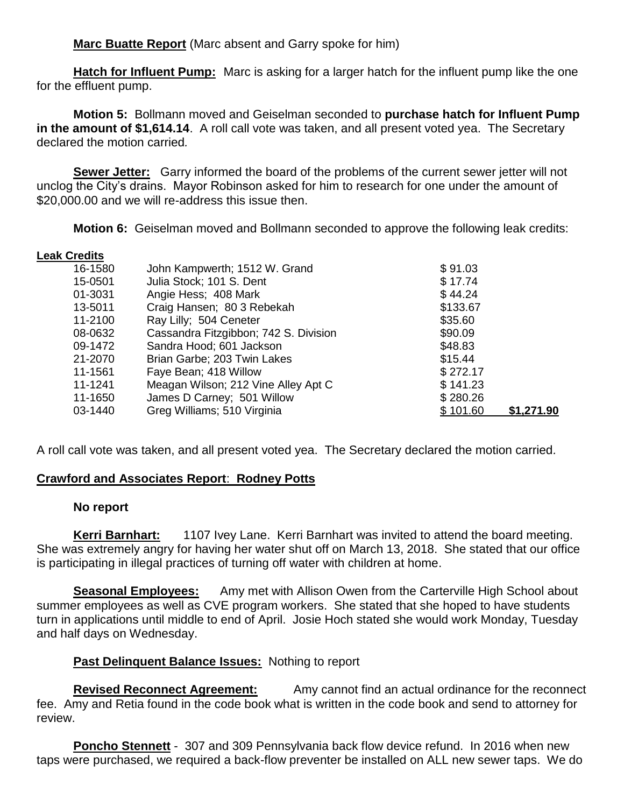**Marc Buatte Report** (Marc absent and Garry spoke for him)

**Hatch for Influent Pump:** Marc is asking for a larger hatch for the influent pump like the one for the effluent pump.

**Motion 5:** Bollmann moved and Geiselman seconded to **purchase hatch for Influent Pump in the amount of \$1,614.14**. A roll call vote was taken, and all present voted yea. The Secretary declared the motion carried*.*

**Sewer Jetter:** Garry informed the board of the problems of the current sewer jetter will not unclog the City's drains. Mayor Robinson asked for him to research for one under the amount of \$20,000.00 and we will re-address this issue then.

**Motion 6:** Geiselman moved and Bollmann seconded to approve the following leak credits:

#### **Leak Credits**

| 16-1580 | John Kampwerth; 1512 W. Grand         | \$91.03  |            |
|---------|---------------------------------------|----------|------------|
| 15-0501 | Julia Stock; 101 S. Dent              | \$17.74  |            |
| 01-3031 | Angie Hess; 408 Mark                  | \$44.24  |            |
| 13-5011 | Craig Hansen; 80 3 Rebekah            | \$133.67 |            |
| 11-2100 | Ray Lilly; 504 Ceneter                | \$35.60  |            |
| 08-0632 | Cassandra Fitzgibbon; 742 S. Division | \$90.09  |            |
| 09-1472 | Sandra Hood; 601 Jackson              | \$48.83  |            |
| 21-2070 | Brian Garbe; 203 Twin Lakes           | \$15.44  |            |
| 11-1561 | Faye Bean; 418 Willow                 | \$272.17 |            |
| 11-1241 | Meagan Wilson; 212 Vine Alley Apt C   | \$141.23 |            |
| 11-1650 | James D Carney; 501 Willow            | \$280.26 |            |
| 03-1440 | Greg Williams; 510 Virginia           | \$101.60 | \$1,271.90 |

A roll call vote was taken, and all present voted yea. The Secretary declared the motion carried*.*

# **Crawford and Associates Report**: **Rodney Potts**

## **No report**

**Kerri Barnhart:** 1107 Ivey Lane. Kerri Barnhart was invited to attend the board meeting. She was extremely angry for having her water shut off on March 13, 2018. She stated that our office is participating in illegal practices of turning off water with children at home.

**Seasonal Employees:** Amy met with Allison Owen from the Carterville High School about summer employees as well as CVE program workers. She stated that she hoped to have students turn in applications until middle to end of April. Josie Hoch stated she would work Monday, Tuesday and half days on Wednesday.

## **Past Delinquent Balance Issues:** Nothing to report

**Revised Reconnect Agreement:** Amy cannot find an actual ordinance for the reconnect fee. Amy and Retia found in the code book what is written in the code book and send to attorney for review.

**Poncho Stennett** - 307 and 309 Pennsylvania back flow device refund. In 2016 when new taps were purchased, we required a back-flow preventer be installed on ALL new sewer taps. We do